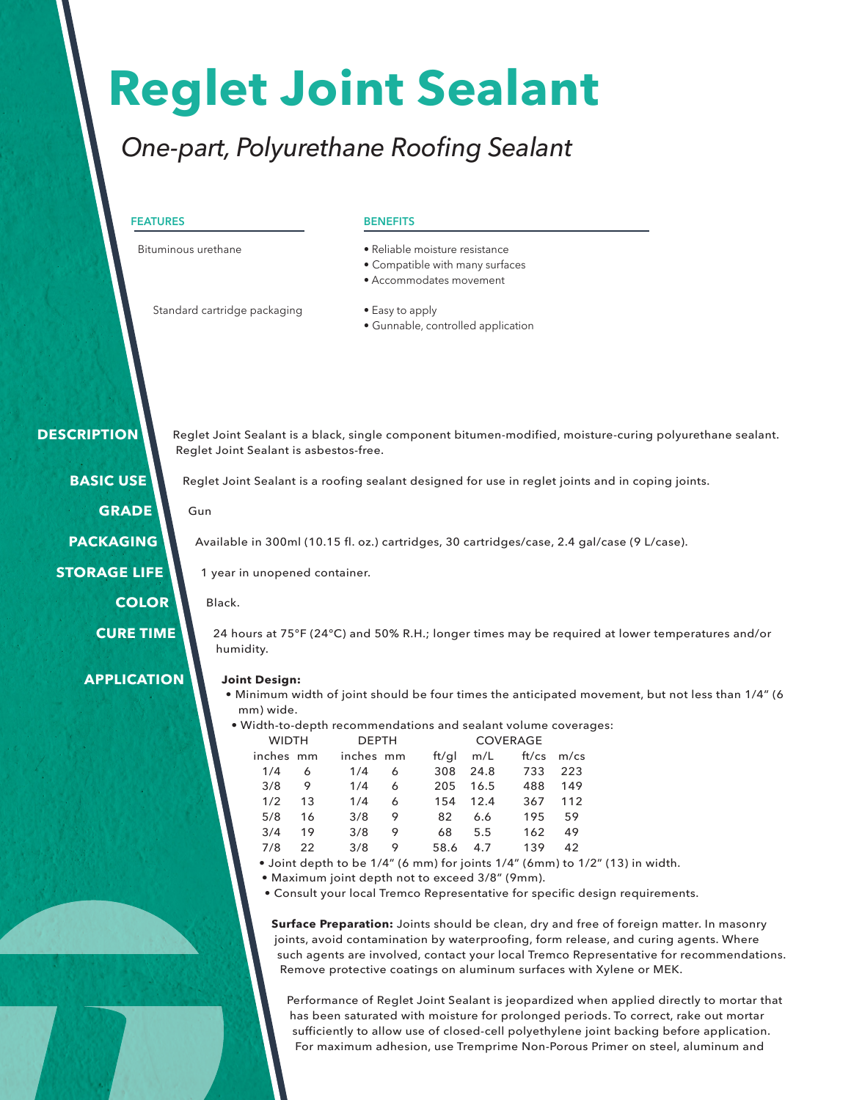# **Reglet Joint Sealant**

### *One-part, Polyurethane Roofing Sealant*

#### **FEATURES**

Bituminous urethane

#### **BENEFITS**

- Reliable moisture resistance
- Compatible with many surfaces
- Accommodates movement

Standard cartridge packaging

- Easy to apply
- Gunnable, controlled application

 **DESCRIPTION**

Reglet Joint Sealant is a black, single component bitumen-modified, moisture-curing polyurethane sealant.

**BASIC USE GRADE**

**PACKAGING**

**STORAGE LIFE**

**COLOR**

**CURE TIME**

**APPLICATION**

### Reglet Joint Sealant is asbestos-free.

Reglet Joint Sealant is a roofing sealant designed for use in reglet joints and in coping joints.

#### Gun

Available in 300ml (10.15 fl. oz.) cartridges, 30 cartridges/case, 2.4 gal/case (9 L/case).

1 year in unopened container.

Black.

24 hours at 75°F (24°C) and 50% R.H.; longer times may be required at lower temperatures and/or humidity.

#### **Joint Design:**

- Minimum width of joint should be four times the anticipated movement, but not less than 1/4" (6 mm) wide.
- Width-to-depth recommendations and sealant volume coverages:<br>COVERAGE

| <b>WIDTH</b> |     |           | <b>DEPTH</b> |  | <b>COVERAGE</b> |      |       |         |
|--------------|-----|-----------|--------------|--|-----------------|------|-------|---------|
| inches mm    |     | inches mm |              |  | ft/gl           | m/L  | ft/cs | $m$ /cs |
| 1/4          | 6   | 1/4       | 6            |  | 308             | 24.8 | 733   | 223     |
| 3/8          | 9   | 1/4       | 6            |  | 205             | 16.5 | 488   | 149     |
| 1/2          | 1.3 | 1/4       | 6            |  | 154             | 12.4 | 367   | 112     |
| 5/8          | 16  | 3/8       | 9            |  | 82              | 6.6  | 195   | 59      |
| 3/4          | 19  | 3/8       | 9            |  | 68              | 5.5  | 162   | 49      |
| 7/8          | 22  | 3/8       | 9            |  | 58.6            | 4.7  | 139   | 42      |

- Joint depth to be 1/4" (6 mm) for joints 1/4" (6mm) to 1/2" (13) in width.
- Maximum joint depth not to exceed 3/8" (9mm).
- Consult your local Tremco Representative for specific design requirements.

**Surface Preparation:** Joints should be clean, dry and free of foreign matter. In masonry joints, avoid contamination by waterproofing, form release, and curing agents. Where such agents are involved, contact your local Tremco Representative for recommendations. Remove protective coatings on aluminum surfaces with Xylene or MEK.

Performance of Reglet Joint Sealant is jeopardized when applied directly to mortar that has been saturated with moisture for prolonged periods. To correct, rake out mortar sufficiently to allow use of closed-cell polyethylene joint backing before application. For maximum adhesion, use Tremprime Non-Porous Primer on steel, aluminum and